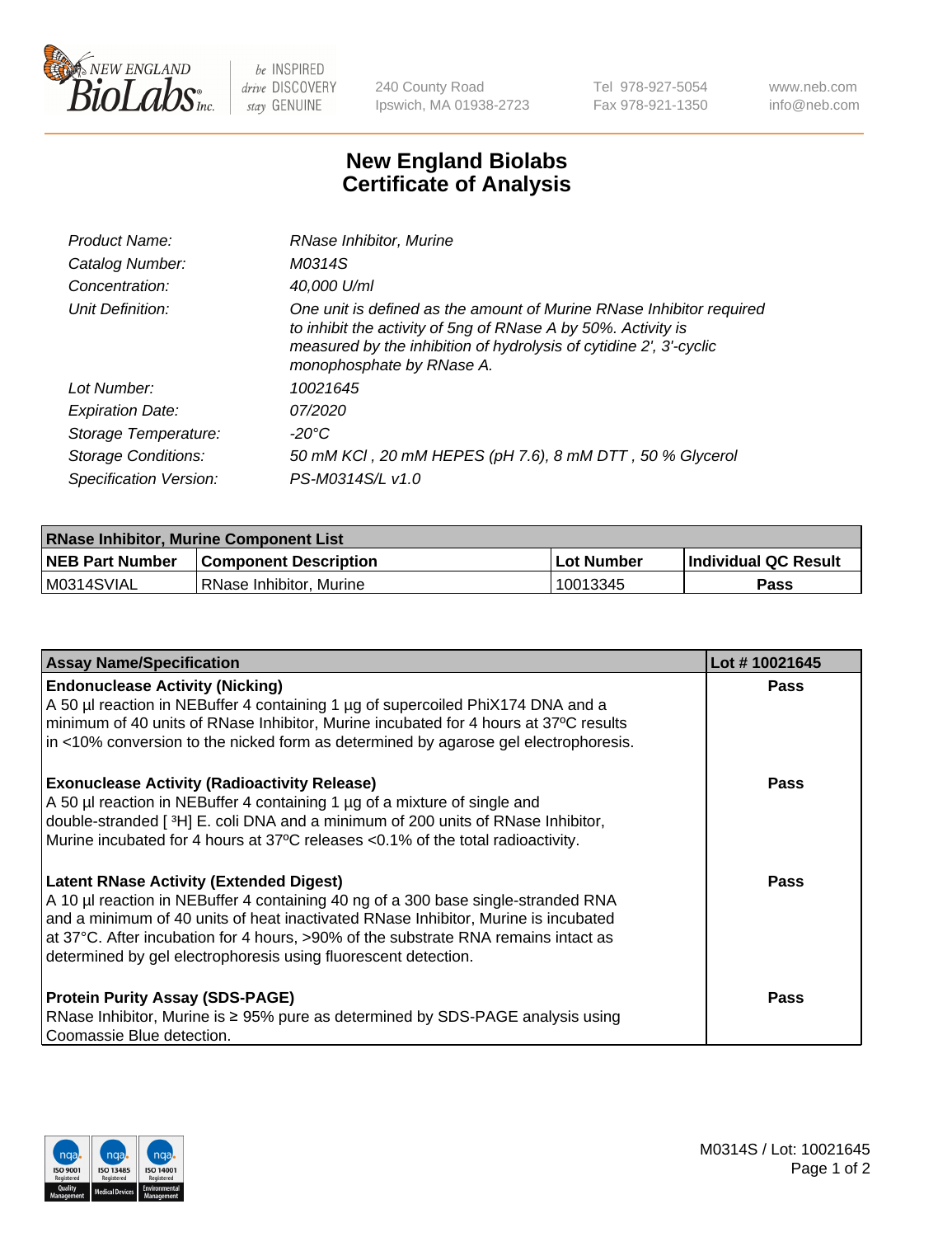

 $be$  INSPIRED drive DISCOVERY stay GENUINE

240 County Road Ipswich, MA 01938-2723 Tel 978-927-5054 Fax 978-921-1350 www.neb.com info@neb.com

## **New England Biolabs Certificate of Analysis**

| Product Name:              | RNase Inhibitor, Murine                                                                                                                                                                                                                  |
|----------------------------|------------------------------------------------------------------------------------------------------------------------------------------------------------------------------------------------------------------------------------------|
| Catalog Number:            | M0314S                                                                                                                                                                                                                                   |
| Concentration:             | 40,000 U/ml                                                                                                                                                                                                                              |
| Unit Definition:           | One unit is defined as the amount of Murine RNase Inhibitor required<br>to inhibit the activity of 5ng of RNase A by 50%. Activity is<br>measured by the inhibition of hydrolysis of cytidine 2', 3'-cyclic<br>monophosphate by RNase A. |
| Lot Number:                | 10021645                                                                                                                                                                                                                                 |
| <b>Expiration Date:</b>    | 07/2020                                                                                                                                                                                                                                  |
| Storage Temperature:       | -20°C                                                                                                                                                                                                                                    |
| <b>Storage Conditions:</b> | 50 mM KCl, 20 mM HEPES (pH 7.6), 8 mM DTT, 50 % Glycerol                                                                                                                                                                                 |
| Specification Version:     | PS-M0314S/L v1.0                                                                                                                                                                                                                         |

| <b>RNase Inhibitor, Murine Component List</b> |                         |                   |                             |  |
|-----------------------------------------------|-------------------------|-------------------|-----------------------------|--|
| <b>NEB Part Number</b>                        | Component Description_  | <b>Lot Number</b> | <b>Individual QC Result</b> |  |
| M0314SVIAL                                    | RNase Inhibitor, Murine | 10013345          | Pass                        |  |

| <b>Assay Name/Specification</b>                                                                                                                                                                                                                                                                                                                                                   | Lot #10021645 |
|-----------------------------------------------------------------------------------------------------------------------------------------------------------------------------------------------------------------------------------------------------------------------------------------------------------------------------------------------------------------------------------|---------------|
| <b>Endonuclease Activity (Nicking)</b><br>A 50 µl reaction in NEBuffer 4 containing 1 µg of supercoiled PhiX174 DNA and a<br>minimum of 40 units of RNase Inhibitor, Murine incubated for 4 hours at 37°C results                                                                                                                                                                 | <b>Pass</b>   |
| in <10% conversion to the nicked form as determined by agarose gel electrophoresis.                                                                                                                                                                                                                                                                                               |               |
| <b>Exonuclease Activity (Radioactivity Release)</b><br>A 50 µl reaction in NEBuffer 4 containing 1 µg of a mixture of single and<br>double-stranded [3H] E. coli DNA and a minimum of 200 units of RNase Inhibitor,<br>Murine incubated for 4 hours at 37°C releases <0.1% of the total radioactivity.                                                                            | <b>Pass</b>   |
| <b>Latent RNase Activity (Extended Digest)</b><br>A 10 µl reaction in NEBuffer 4 containing 40 ng of a 300 base single-stranded RNA<br>and a minimum of 40 units of heat inactivated RNase Inhibitor, Murine is incubated<br>at 37°C. After incubation for 4 hours, >90% of the substrate RNA remains intact as<br>determined by gel electrophoresis using fluorescent detection. | <b>Pass</b>   |
| <b>Protein Purity Assay (SDS-PAGE)</b><br>RNase Inhibitor, Murine is ≥ 95% pure as determined by SDS-PAGE analysis using<br>Coomassie Blue detection.                                                                                                                                                                                                                             | Pass          |